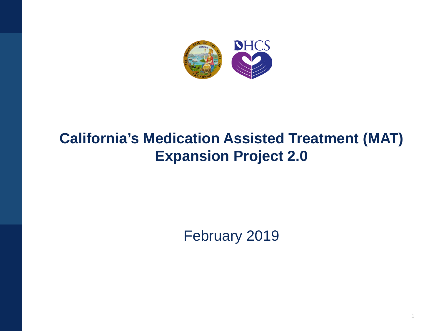

### **California's Medication Assisted Treatment (MAT) Expansion Project 2.0**

February 2019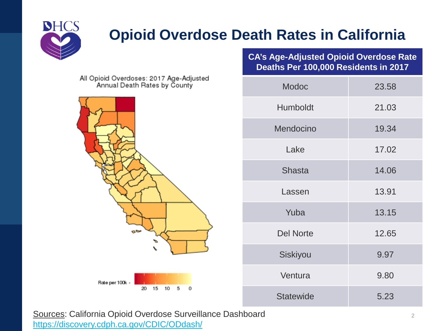

## **Opioid Overdose Death Rates in California**

All Opioid Overdoses: 2017 Age-Adjusted<br>Annual Death Rates by County



**CA's Age-Adjusted Opioid Overdose Rate Deaths Per 100,000 Residents in 2017**

| <b>Modoc</b>     | 23.58 |
|------------------|-------|
| Humboldt         | 21.03 |
| Mendocino        | 19.34 |
| Lake             | 17.02 |
| <b>Shasta</b>    | 14.06 |
| Lassen           | 13.91 |
| Yuba             | 13.15 |
| <b>Del Norte</b> | 12.65 |
| Siskiyou         | 9.97  |
| Ventura          | 9.80  |
| <b>Statewide</b> | 5.23  |

Sources: California Opioid Overdose Surveillance Dashboard <https://discovery.cdph.ca.gov/CDIC/ODdash/>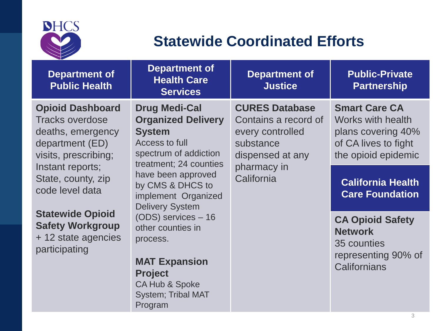

#### **Statewide Coordinated Efforts**

| <b>Department of</b><br><b>Public Health</b>                                                                      | <b>Department of</b><br><b>Health Care</b><br><b>Services</b>                                                                                 | <b>Department of</b><br><b>Justice</b>                                                             | <b>Public-Private</b><br><b>Partnership</b>                                                                           |
|-------------------------------------------------------------------------------------------------------------------|-----------------------------------------------------------------------------------------------------------------------------------------------|----------------------------------------------------------------------------------------------------|-----------------------------------------------------------------------------------------------------------------------|
| <b>Opioid Dashboard</b><br><b>Tracks overdose</b><br>deaths, emergency<br>department (ED)<br>visits, prescribing; | <b>Drug Medi-Cal</b><br><b>Organized Delivery</b><br><b>System</b><br>Access to full<br>spectrum of addiction<br>treatment; 24 counties       | <b>CURES Database</b><br>Contains a record of<br>every controlled<br>substance<br>dispensed at any | <b>Smart Care CA</b><br><b>Works with health</b><br>plans covering 40%<br>of CA lives to fight<br>the opioid epidemic |
| Instant reports;<br>State, county, zip<br>code level data                                                         | have been approved<br>by CMS & DHCS to<br>implement Organized<br><b>Delivery System</b>                                                       | pharmacy in<br>California                                                                          | <b>California Health</b><br><b>Care Foundation</b>                                                                    |
| <b>Statewide Opioid</b><br><b>Safety Workgroup</b><br>+ 12 state agencies<br>participating                        | (ODS) services - 16<br>other counties in<br>process.<br><b>MAT Expansion</b><br><b>Project</b><br>CA Hub & Spoke<br><b>System; Tribal MAT</b> |                                                                                                    | <b>CA Opioid Safety</b><br><b>Network</b><br>35 counties<br>representing 90% of<br>Californians                       |

Program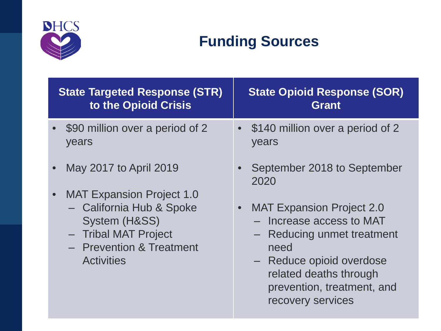

## **Funding Sources**

| <b>State Targeted Response (STR)</b>                                                                               | <b>State Opioid Response (SOR)</b>                                                                                                                                                                                     |
|--------------------------------------------------------------------------------------------------------------------|------------------------------------------------------------------------------------------------------------------------------------------------------------------------------------------------------------------------|
| to the Opioid Crisis                                                                                               | Grant                                                                                                                                                                                                                  |
| \$90 million over a period of 2<br>years                                                                           | \$140 million over a period of 2<br>$\bullet$<br>years                                                                                                                                                                 |
| May 2017 to April 2019                                                                                             | September 2018 to September                                                                                                                                                                                            |
| <b>MAT Expansion Project 1.0</b>                                                                                   | 2020                                                                                                                                                                                                                   |
| - California Hub & Spoke<br>System (H&SS)<br>- Tribal MAT Project<br>- Prevention & Treatment<br><b>Activities</b> | <b>MAT Expansion Project 2.0</b><br>$\bullet$<br>Increase access to MAT<br>- Reducing unmet treatment<br>need<br>- Reduce opioid overdose<br>related deaths through<br>prevention, treatment, and<br>recovery services |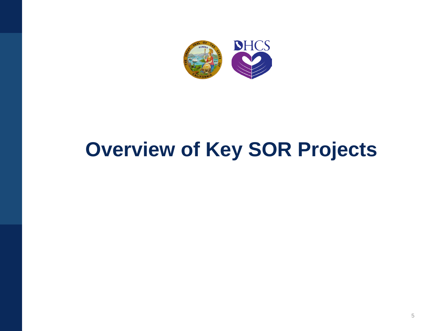

# **Overview of Key SOR Projects**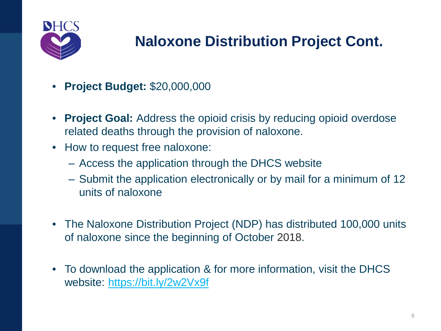

## **Naloxone Distribution Project Cont.**

- **Project Budget:** \$20,000,000
- **Project Goal:** Address the opioid crisis by reducing opioid overdose related deaths through the provision of naloxone.
- How to request free naloxone:
	- ‒ Access the application through the DHCS website
	- ‒ Submit the application electronically or by mail for a minimum of 12 units of naloxone
- The Naloxone Distribution Project (NDP) has distributed 100,000 units of naloxone since the beginning of October 2018.
- To download the application & for more information, visit the DHCS website: <https://bit.ly/2w2Vx9f>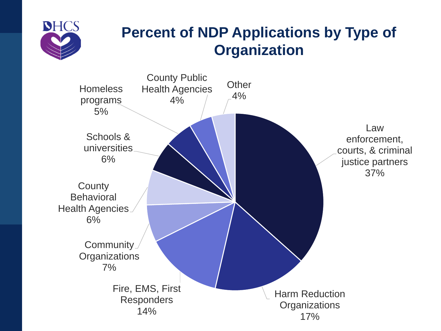

#### **Percent of NDP Applications by Type of Organization**

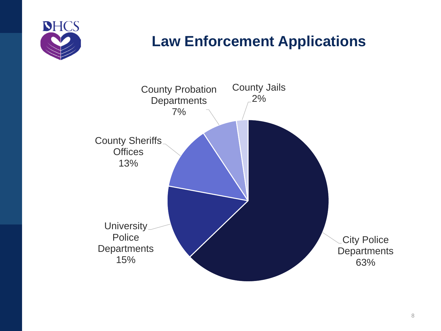

### **Law Enforcement Applications**

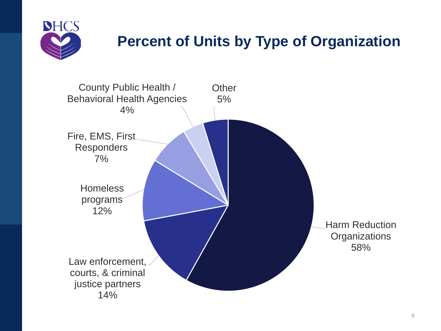

### **Percent of Units by Type of Organization**

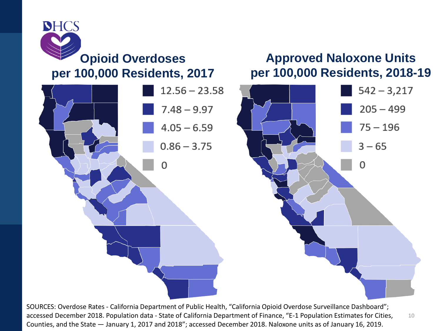

# $12.56 - 23.58$  $542 - 3,217$  $7.48 - 9.97$  $205 - 499$  $75 - 196$  $4.05 - 6.59$  $0.86 - 3.75$  $3 - 65$ O O

SOURCES: Overdose Rates - California Department of Public Health, "California Opioid Overdose Surveillance Dashboard"; accessed December 2018. Population data - State of California Department of Finance, "E-1 Population Estimates for Cities, Counties, and the State — January 1, 2017 and 2018"; accessed December 2018. Naloxone units as of January 16, 2019.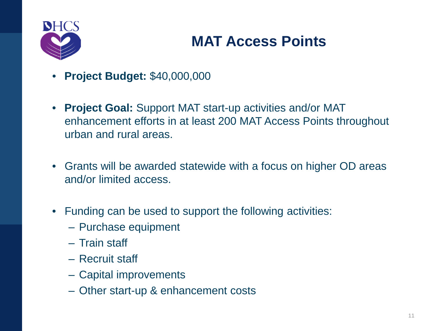

### **MAT Access Points**

- **Project Budget:** \$40,000,000
- **Project Goal:** Support MAT start-up activities and/or MAT enhancement efforts in at least 200 MAT Access Points throughout urban and rural areas.
- Grants will be awarded statewide with a focus on higher OD areas and/or limited access.
- Funding can be used to support the following activities:
	- ‒ Purchase equipment
	- ‒ Train staff
	- ‒ Recruit staff
	- ‒ Capital improvements
	- ‒ Other start-up & enhancement costs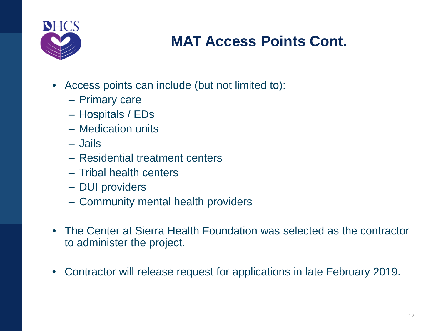

#### **MAT Access Points Cont.**

- Access points can include (but not limited to):
	- ‒ Primary care
	- ‒ Hospitals / EDs
	- ‒ Medication units
	- ‒ Jails
	- ‒ Residential treatment centers
	- ‒ Tribal health centers
	- ‒ DUI providers
	- ‒ Community mental health providers
- The Center at Sierra Health Foundation was selected as the contractor to administer the project.
- Contractor will release request for applications in late February 2019.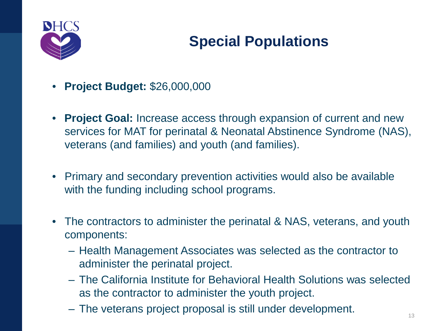

## **Special Populations**

- **Project Budget:** \$26,000,000
- **Project Goal:** Increase access through expansion of current and new services for MAT for perinatal & Neonatal Abstinence Syndrome (NAS), veterans (and families) and youth (and families).
- Primary and secondary prevention activities would also be available with the funding including school programs.
- The contractors to administer the perinatal & NAS, veterans, and youth components:
	- ‒ Health Management Associates was selected as the contractor to administer the perinatal project.
	- ‒ The California Institute for Behavioral Health Solutions was selected as the contractor to administer the youth project.
	- $-$  The veterans project proposal is still under development.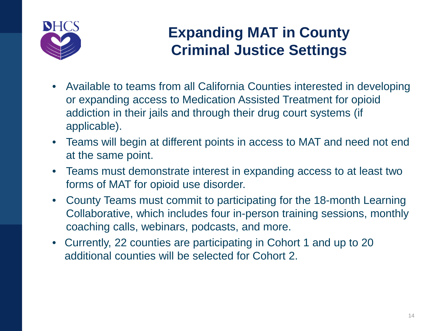

#### **Expanding MAT in County Criminal Justice Settings**

- Available to teams from all California Counties interested in developing or expanding access to Medication Assisted Treatment for opioid addiction in their jails and through their drug court systems (if applicable).
- Teams will begin at different points in access to MAT and need not end at the same point.
- Teams must demonstrate interest in expanding access to at least two forms of MAT for opioid use disorder.
- County Teams must commit to participating for the 18-month Learning Collaborative, which includes four in-person training sessions, monthly coaching calls, webinars, podcasts, and more.
- Currently, 22 counties are participating in Cohort 1 and up to 20 additional counties will be selected for Cohort 2.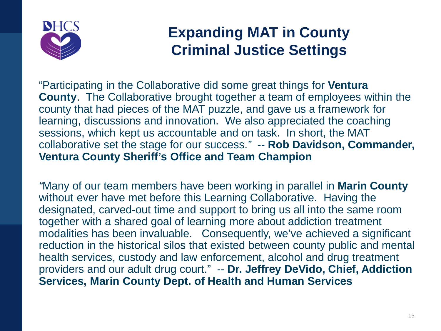

#### **Expanding MAT in County Criminal Justice Settings**

"Participating in the Collaborative did some great things for **Ventura County**. The Collaborative brought together a team of employees within the county that had pieces of the MAT puzzle, and gave us a framework for learning, discussions and innovation. We also appreciated the coaching sessions, which kept us accountable and on task. In short, the MAT collaborative set the stage for our success.*" --* **Rob Davidson, Commander, Ventura County Sheriff's Office and Team Champion**

*"*Many of our team members have been working in parallel in **Marin County** without ever have met before this Learning Collaborative. Having the designated, carved-out time and support to bring us all into the same room together with a shared goal of learning more about addiction treatment modalities has been invaluable. Consequently, we've achieved a significant reduction in the historical silos that existed between county public and mental health services, custody and law enforcement, alcohol and drug treatment providers and our adult drug court." -- **Dr. Jeffrey DeVido, Chief, Addiction Services, Marin County Dept. of Health and Human Services**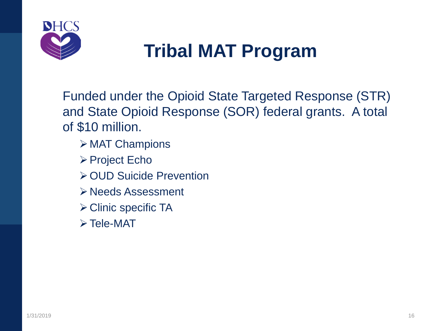

## **Tribal MAT Program**

Funded under the Opioid State Targeted Response (STR) and State Opioid Response (SOR) federal grants. A total of \$10 million.

- $\triangleright$  MAT Champions
- **≻ Project Echo**
- **≻OUD Suicide Prevention**
- Needs Assessment
- **≻ Clinic specific TA**
- $\triangleright$  Tele-MAT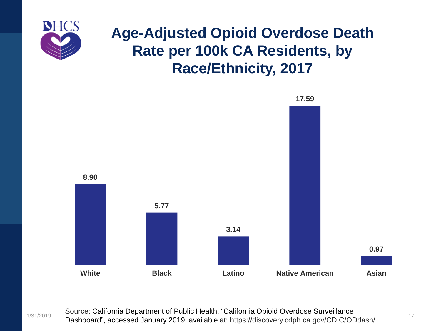

#### **Age-Adjusted Opioid Overdose Death Rate per 100k CA Residents, by Race/Ethnicity, 2017**



1/31/2019 17 Dashboard", accessed January 2019; available at: https://discovery.cdph.ca.gov/CDIC/ODdash/Source: California Department of Public Health, "California Opioid Overdose Surveillance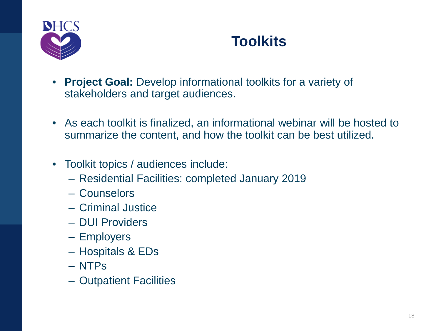

#### **Toolkits**

- **Project Goal:** Develop informational toolkits for a variety of stakeholders and target audiences.
- As each toolkit is finalized, an informational webinar will be hosted to summarize the content, and how the toolkit can be best utilized.
- Toolkit topics / audiences include:
	- ‒ Residential Facilities: completed January 2019
	- ‒ Counselors
	- ‒ Criminal Justice
	- ‒ DUI Providers
	- ‒ Employers
	- ‒ Hospitals & EDs
	- ‒ NTPs
	- ‒ Outpatient Facilities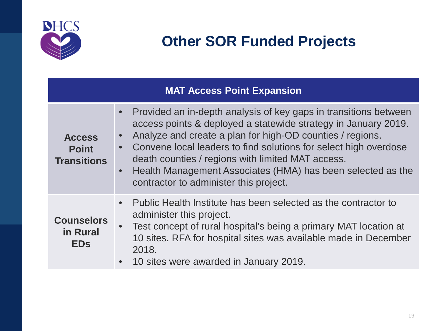

#### **MAT Access Point Expansion**

| <b>Access</b><br><b>Point</b><br><b>Transitions</b> | Provided an in-depth analysis of key gaps in transitions between<br>access points & deployed a statewide strategy in January 2019.<br>Analyze and create a plan for high-OD counties / regions.<br>$\bullet$<br>Convene local leaders to find solutions for select high overdose<br>death counties / regions with limited MAT access.<br>Health Management Associates (HMA) has been selected as the<br>$\bullet$<br>contractor to administer this project. |
|-----------------------------------------------------|-------------------------------------------------------------------------------------------------------------------------------------------------------------------------------------------------------------------------------------------------------------------------------------------------------------------------------------------------------------------------------------------------------------------------------------------------------------|
| <b>Counselors</b><br>in Rural<br><b>EDs</b>         | Public Health Institute has been selected as the contractor to<br>administer this project.<br>Test concept of rural hospital's being a primary MAT location at<br>$\bullet$<br>10 sites. RFA for hospital sites was available made in December<br>2018.<br>10 sites were awarded in January 2019.<br>$\bullet$                                                                                                                                              |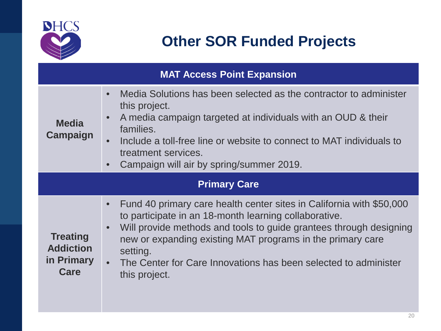

| <b>MAT Access Point Expansion</b>                         |                                                                                                                                                                                                                                                                                                                                                                                               |  |  |
|-----------------------------------------------------------|-----------------------------------------------------------------------------------------------------------------------------------------------------------------------------------------------------------------------------------------------------------------------------------------------------------------------------------------------------------------------------------------------|--|--|
| <b>Media</b><br><b>Campaign</b>                           | Media Solutions has been selected as the contractor to administer<br>$\bullet$<br>this project.<br>A media campaign targeted at individuals with an OUD & their<br>$\bullet$<br>families.<br>Include a toll-free line or website to connect to MAT individuals to<br>$\bullet$<br>treatment services.<br>Campaign will air by spring/summer 2019.<br>$\bullet$                                |  |  |
| <b>Primary Care</b>                                       |                                                                                                                                                                                                                                                                                                                                                                                               |  |  |
| <b>Treating</b><br><b>Addiction</b><br>in Primary<br>Care | Fund 40 primary care health center sites in California with \$50,000<br>$\bullet$<br>to participate in an 18-month learning collaborative.<br>Will provide methods and tools to guide grantees through designing<br>$\bullet$<br>new or expanding existing MAT programs in the primary care<br>setting.<br>• The Center for Care Innovations has been selected to administer<br>this project. |  |  |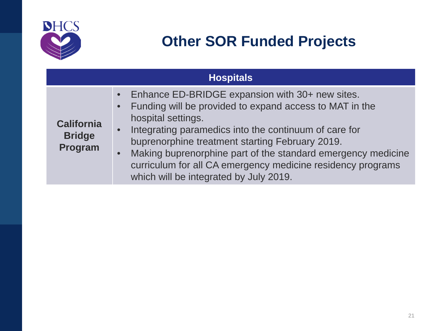

|                                               | <b>Hospitals</b>                                                                                                                                                                                                                                                                                                                                                                                                                                                          |
|-----------------------------------------------|---------------------------------------------------------------------------------------------------------------------------------------------------------------------------------------------------------------------------------------------------------------------------------------------------------------------------------------------------------------------------------------------------------------------------------------------------------------------------|
| <b>California</b><br><b>Bridge</b><br>Program | Enhance ED-BRIDGE expansion with 30+ new sites.<br>$\bullet$<br>Funding will be provided to expand access to MAT in the<br>$\bullet$<br>hospital settings.<br>Integrating paramedics into the continuum of care for<br>$\bullet$<br>buprenorphine treatment starting February 2019.<br>Making buprenorphine part of the standard emergency medicine<br>$\bullet$<br>curriculum for all CA emergency medicine residency programs<br>which will be integrated by July 2019. |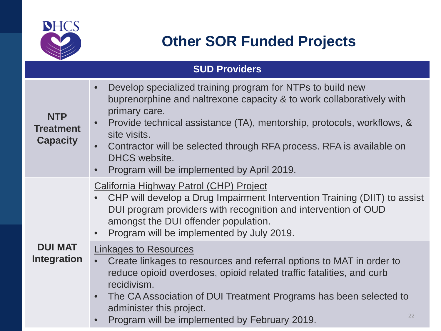

**NTP Treatment** 

**Capacity**

#### **Other SOR Funded Projects**

#### **SUD Providers** • Develop specialized training program for NTPs to build new buprenorphine and naltrexone capacity & to work collaboratively with primary care. • Provide technical assistance (TA), mentorship, protocols, workflows, & site visits. • Contractor will be selected through RFA process. RFA is available on

• Program will be implemented by April 2019.

#### California Highway Patrol (CHP) Project

- CHP will develop a Drug Impairment Intervention Training (DIIT) to assist DUI program providers with recognition and intervention of OUD amongst the DUI offender population.
- Program will be implemented by July 2019.

#### **DUI MAT Integration**

#### Linkages to Resources

DHCS website.

- Create linkages to resources and referral options to MAT in order to reduce opioid overdoses, opioid related traffic fatalities, and curb recidivism.
	- The CA Association of DUI Treatment Programs has been selected to administer this project.
	- **Program will be implemented by February 2019.**  $222$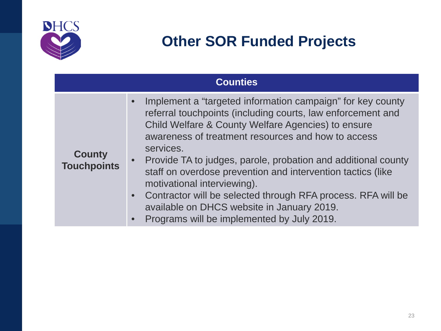

|                                     | <b>Counties</b>                                                                                                                                                                                                                                                                                                                                                                                                                                                                                                                                                                                                                   |
|-------------------------------------|-----------------------------------------------------------------------------------------------------------------------------------------------------------------------------------------------------------------------------------------------------------------------------------------------------------------------------------------------------------------------------------------------------------------------------------------------------------------------------------------------------------------------------------------------------------------------------------------------------------------------------------|
| <b>County</b><br><b>Touchpoints</b> | Implement a "targeted information campaign" for key county<br>$\bullet$<br>referral touchpoints (including courts, law enforcement and<br>Child Welfare & County Welfare Agencies) to ensure<br>awareness of treatment resources and how to access<br>services.<br>Provide TA to judges, parole, probation and additional county<br>$\bullet$<br>staff on overdose prevention and intervention tactics (like<br>motivational interviewing).<br>Contractor will be selected through RFA process. RFA will be<br>$\bullet$<br>available on DHCS website in January 2019.<br>Programs will be implemented by July 2019.<br>$\bullet$ |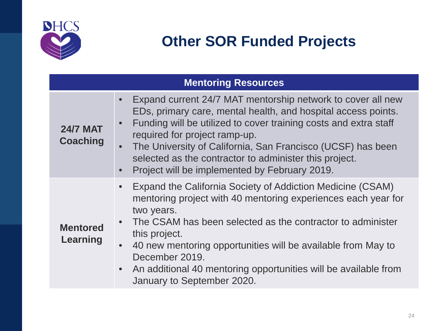

| <b>Mentoring Resources</b>         |                                                                                                                                                                                                                                                                                                                                                                                                                                                                 |  |  |
|------------------------------------|-----------------------------------------------------------------------------------------------------------------------------------------------------------------------------------------------------------------------------------------------------------------------------------------------------------------------------------------------------------------------------------------------------------------------------------------------------------------|--|--|
| <b>24/7 MAT</b><br><b>Coaching</b> | Expand current 24/7 MAT mentorship network to cover all new<br>$\bullet$<br>EDs, primary care, mental health, and hospital access points.<br>Funding will be utilized to cover training costs and extra staff<br>$\bullet$<br>required for project ramp-up.<br>The University of California, San Francisco (UCSF) has been<br>selected as the contractor to administer this project.<br>Project will be implemented by February 2019.<br>$\bullet$              |  |  |
| <b>Mentored</b><br>Learning        | Expand the California Society of Addiction Medicine (CSAM)<br>$\bullet$<br>mentoring project with 40 mentoring experiences each year for<br>two years.<br>The CSAM has been selected as the contractor to administer<br>$\bullet$<br>this project.<br>40 new mentoring opportunities will be available from May to<br>$\bullet$<br>December 2019.<br>An additional 40 mentoring opportunities will be available from<br>$\bullet$<br>January to September 2020. |  |  |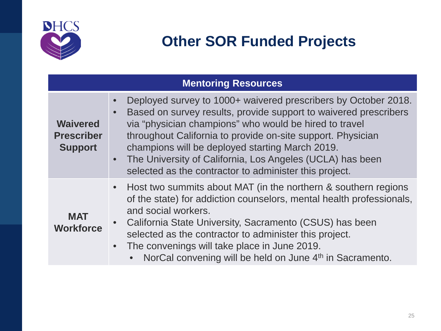

| <b>Mentoring Resources</b>                             |                                                                                                                                                                                                                                                                                                                                                                                                                                                                   |  |  |
|--------------------------------------------------------|-------------------------------------------------------------------------------------------------------------------------------------------------------------------------------------------------------------------------------------------------------------------------------------------------------------------------------------------------------------------------------------------------------------------------------------------------------------------|--|--|
| <b>Waivered</b><br><b>Prescriber</b><br><b>Support</b> | Deployed survey to 1000+ waivered prescribers by October 2018.<br>$\bullet$<br>Based on survey results, provide support to waivered prescribers<br>$\bullet$<br>via "physician champions" who would be hired to travel<br>throughout California to provide on-site support. Physician<br>champions will be deployed starting March 2019.<br>• The University of California, Los Angeles (UCLA) has been<br>selected as the contractor to administer this project. |  |  |
| <b>MAT</b><br><b>Workforce</b>                         | • Host two summits about MAT (in the northern & southern regions<br>of the state) for addiction counselors, mental health professionals,<br>and social workers.<br>California State University, Sacramento (CSUS) has been<br>$\bullet$<br>selected as the contractor to administer this project.<br>• The convenings will take place in June 2019.<br>NorCal convening will be held on June 4 <sup>th</sup> in Sacramento.                                       |  |  |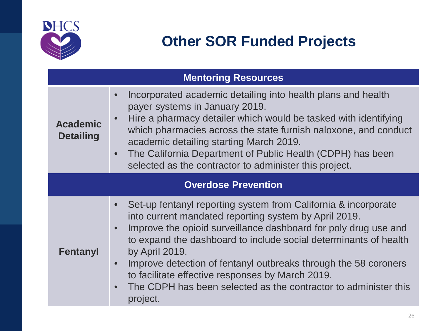

| <b>Mentoring Resources</b>          |                                                                                                                                                                                                                                                                                                                                                                                                                                                                                                                  |  |
|-------------------------------------|------------------------------------------------------------------------------------------------------------------------------------------------------------------------------------------------------------------------------------------------------------------------------------------------------------------------------------------------------------------------------------------------------------------------------------------------------------------------------------------------------------------|--|
| <b>Academic</b><br><b>Detailing</b> | Incorporated academic detailing into health plans and health<br>$\bullet$<br>payer systems in January 2019.<br>Hire a pharmacy detailer which would be tasked with identifying<br>$\bullet$<br>which pharmacies across the state furnish naloxone, and conduct<br>academic detailing starting March 2019.<br>The California Department of Public Health (CDPH) has been<br>$\bullet$<br>selected as the contractor to administer this project.                                                                   |  |
| <b>Overdose Prevention</b>          |                                                                                                                                                                                                                                                                                                                                                                                                                                                                                                                  |  |
| <b>Fentanyl</b>                     | Set-up fentanyl reporting system from California & incorporate<br>into current mandated reporting system by April 2019.<br>Improve the opioid surveillance dashboard for poly drug use and<br>to expand the dashboard to include social determinants of health<br>by April 2019.<br>Improve detection of fentanyl outbreaks through the 58 coroners<br>$\bullet$<br>to facilitate effective responses by March 2019.<br>The CDPH has been selected as the contractor to administer this<br>$\bullet$<br>project. |  |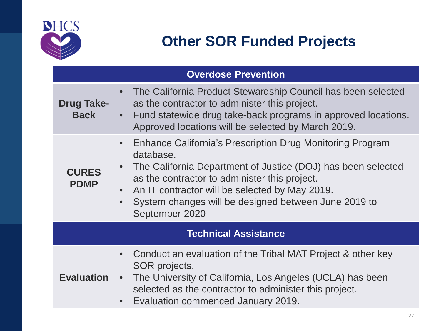

| <b>Overdose Prevention</b>       |                                                                                                                                                                                                                                                                                                                                                            |  |
|----------------------------------|------------------------------------------------------------------------------------------------------------------------------------------------------------------------------------------------------------------------------------------------------------------------------------------------------------------------------------------------------------|--|
| <b>Drug Take-</b><br><b>Back</b> | The California Product Stewardship Council has been selected<br>$\bullet$<br>as the contractor to administer this project.<br>Fund statewide drug take-back programs in approved locations.<br>$\bullet$<br>Approved locations will be selected by March 2019.                                                                                             |  |
| <b>CURES</b><br><b>PDMP</b>      | Enhance California's Prescription Drug Monitoring Program<br>$\bullet$<br>database.<br>The California Department of Justice (DOJ) has been selected<br>$\bullet$<br>as the contractor to administer this project.<br>An IT contractor will be selected by May 2019.<br>System changes will be designed between June 2019 to<br>$\bullet$<br>September 2020 |  |
| <b>Technical Assistance</b>      |                                                                                                                                                                                                                                                                                                                                                            |  |
| <b>Evaluation</b>                | Conduct an evaluation of the Tribal MAT Project & other key<br>$\bullet$<br>SOR projects.<br>The University of California, Los Angeles (UCLA) has been<br>$\bullet$<br>selected as the contractor to administer this project.<br>Evaluation commenced January 2019.<br>$\bullet$                                                                           |  |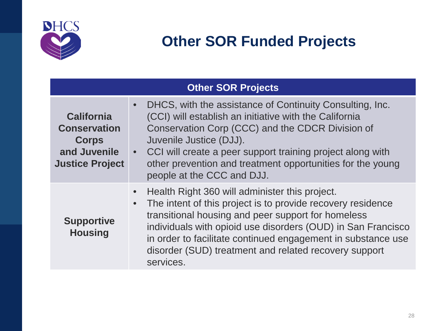

| <b>Other SOR Projects</b>                                                                          |                                                                                                                                                                                                                                                                                                                                                                                                     |  |
|----------------------------------------------------------------------------------------------------|-----------------------------------------------------------------------------------------------------------------------------------------------------------------------------------------------------------------------------------------------------------------------------------------------------------------------------------------------------------------------------------------------------|--|
| <b>California</b><br><b>Conservation</b><br><b>Corps</b><br>and Juvenile<br><b>Justice Project</b> | DHCS, with the assistance of Continuity Consulting, Inc.<br>$\bullet$<br>(CCI) will establish an initiative with the California<br>Conservation Corp (CCC) and the CDCR Division of<br>Juvenile Justice (DJJ).<br>• CCI will create a peer support training project along with<br>other prevention and treatment opportunities for the young<br>people at the CCC and DJJ.                          |  |
| <b>Supportive</b><br><b>Housing</b>                                                                | Health Right 360 will administer this project.<br>$\bullet$<br>The intent of this project is to provide recovery residence<br>$\bullet$<br>transitional housing and peer support for homeless<br>individuals with opioid use disorders (OUD) in San Francisco<br>in order to facilitate continued engagement in substance use<br>disorder (SUD) treatment and related recovery support<br>services. |  |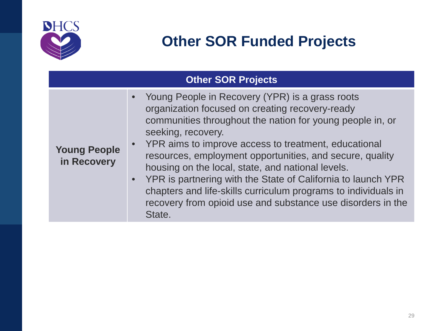

| <b>Other SOR Projects</b>          |                                                                                                                                                                                                                                                                                                                                                                                                                                                                                                                                                                                 |
|------------------------------------|---------------------------------------------------------------------------------------------------------------------------------------------------------------------------------------------------------------------------------------------------------------------------------------------------------------------------------------------------------------------------------------------------------------------------------------------------------------------------------------------------------------------------------------------------------------------------------|
| <b>Young People</b><br>in Recovery | • Young People in Recovery (YPR) is a grass roots<br>organization focused on creating recovery-ready<br>communities throughout the nation for young people in, or<br>seeking, recovery.<br>• YPR aims to improve access to treatment, educational<br>resources, employment opportunities, and secure, quality<br>housing on the local, state, and national levels.<br>• YPR is partnering with the State of California to launch YPR<br>chapters and life-skills curriculum programs to individuals in<br>recovery from opioid use and substance use disorders in the<br>State. |